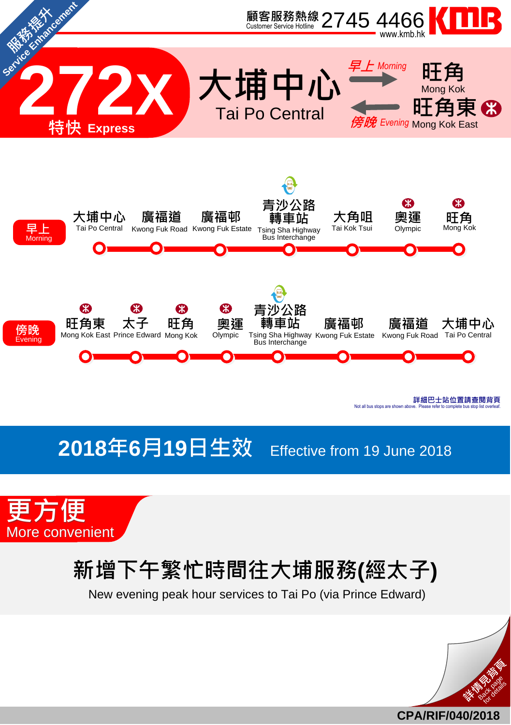

## **2018**年**6**月**19**日生效 Effective from <sup>19</sup> June <sup>2018</sup>



## 新增下午繁忙時間往大埔服務**(**經太子**)**

New evening peak hour services to Tai Po (via Prince Edward)